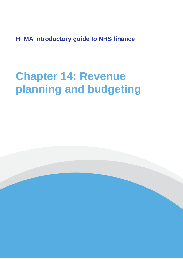**HFMA introductory guide to NHS finance**

# **Chapter 14: Revenue planning and budgeting**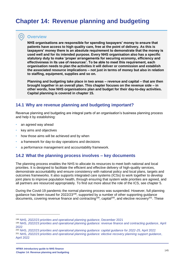# **Chapter 14: Revenue planning and budgeting**

## **Overview**

 $\bullet$ 

**NHS organisations are responsible for spending taxpayers' money to ensure that patients have access to high quality care, free at the point of delivery. As this is taxpayers' money there is an absolute requirement to demonstrate that the money is used well and for its intended purpose. Every NHS organisation also has a specific statutory duty to make 'proper arrangements for securing economy, efficiency and effectiveness in its use of resources'. To be able to meet this requirement, each organisation needs to plan the activities it will deliver or commission and establish the associated resource implications – not just in terms of money but also in relation to staffing, equipment, supplies and so on.**

**Planning and budgeting take place in two areas – revenue and capital – that are then brought together in an overall plan. This chapter focuses on the revenue side – in other words, how NHS organisations plan and budget for their day-to-day activities. Capital planning is covered in chapter 15.**

# **14.1 Why are revenue planning and budgeting important?**

Revenue planning and budgeting are integral parts of an organisation's business planning process and help it by establishing:

- an agreed way ahead
- key aims and objectives
- how those aims will be achieved and by when
- a framework for day-to-day operations and decisions
- a performance management and accountability framework.

# **14.2 What the planning process involves – key documents**

The planning process enables the NHS to allocate its resources to meet both national and local priorities. It is designed to facilitate the efficient and effective delivery of high-quality services, demonstrate accountability and ensure consistency with national policy and local plans, targets and outcomes frameworks. It also supports integrated care systems (ICSs) to work together to develop joint plans to improve population health, through ensuring that system wide priorities are agreed, and all partners are resourced appropriately. To find out more about the role of the ICS, see chapter 5.

During the Covid-19 pandemic the normal planning process was suspended. However, full planning guidance has been issued for 2022/23<sup>198</sup>, supported by a number of other supporting guidance documents, covering revenue finance and contracting<sup>199</sup>, capital<sup>200</sup>, and elective recovery<sup>201</sup>. These

<sup>198</sup> NHS, *[2022/23 priorities and operational planning guidance](https://www.england.nhs.uk/publication/2022-23-priorities-and-operational-planning-guidance/?msclkid=3fa36677ba5a11ecbc2ca3277edc3863)*, December 2021

<sup>199</sup> NHS, *[2022/23 priorities and operational planning guidance: revenue finance and contracting guidance](https://www.england.nhs.uk/publication/planning-guidance-revenue-finance-and-contracting-guidance-for-2022-23/)*, April [2022](https://www.england.nhs.uk/publication/planning-guidance-revenue-finance-and-contracting-guidance-for-2022-23/)

<sup>200</sup> NHS, *[2022/23 priorities and operational planning guidance: capital guidance for 2022-25](https://www.england.nhs.uk/publication/planning-guidance-capital-guidance-for-2022-25/)*, April 2022 <sup>201</sup> NHS, *[2022/23 priorities and operational planning guidance: elective recovery planning support guidance](https://www.england.nhs.uk/publication/planning-guidance-elective-recovery-planning-supporting-guidance/)*, [April 2022](https://www.england.nhs.uk/publication/planning-guidance-elective-recovery-planning-supporting-guidance/)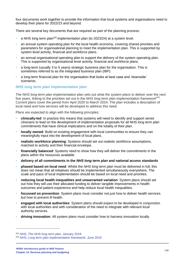four documents work together to provide the information that local systems and organisations need to develop their plans for 2022/23 and beyond.

There are several key documents that are required as part of the planning process:

- a NHS long term plan<sup>202</sup> implementation plan (to 2023/24) at a system level.
- an annual system operating plan for the local health economy, covering shared priorities and parameters for organisational planning to meet the implementation plan. This is supported by system level activity, financial and workforce plans.
- an annual organisational operating plan to support the delivery of the system operating plan. This is supported by organisational level activity, financial and workforce plans.
- a long-term (usually 3 to 5 years) strategic business plan for the organisation. This is sometimes referred to as the integrated business plan (IBP).
- a long-term financial plan for the organisation that looks at best case and 'downside' scenarios.

#### *NHS long term plan* **implementation plan**

The *NHS long-term plan* implementation plan sets out what the system plans to deliver over the next five years, linking to the priorities set out in the *NHS long term plan implementation framework<sup>203</sup>* . Current plans cover the period from April 2020 to March 2024. The plan includes a description of local need and how services will be developed to address this need.

Plans are expected to align with the following principles:

- **clinically-led**: In practice this means that systems will need to identify and support senior clinicians to lead on the development of implementation proposals for all NHS long term plan commitments that have clinical implications and on the totality of their plan.
- **locally owned:** Build on existing engagement with local communities to ensure they can meaningfully input into the development of local plans.
- **realistic workforce planning**: Systems should set out realistic workforce assumptions, matched to activity and their financial envelope.
- **financially balanced**: Systems need to show how they will deliver the commitments in the plans within the resources available.
- **delivery of all commitments in the** *NHS long term plan* **and national access standards**
- **phased based on local need**: Whilst the *NHS long term plan* must be delivered in full, this does not mean that all initiatives should be implemented simultaneously everywhere. The scale and pace of local implementation should be based on local need and priorities.
- **reducing local health inequalities and unwarranted variation**: System plans should set out how they will use their allocated funding to deliver tangible improvements in health outcomes and patient experience and help reduce local health inequalities.
- **focussed on prevention**: System plans must consider not just how to deliver health services but how to prevent ill health.
- **engaged with local authorities**: System plans should expect to be developed in conjunction with local authorities and with consideration of the need to integrate with relevant local authority services.
- **driving innovation**: All system plans must consider how to harness innovation locally.

<sup>202</sup> NHS, *[The NHS long term plan,](https://www.longtermplan.nhs.uk/publication/nhs-long-term-plan/)* January 2019

<sup>203</sup> NHS, *[Long term plan implementation framework,](https://www.longtermplan.nhs.uk/implementation-framework/)* June 2019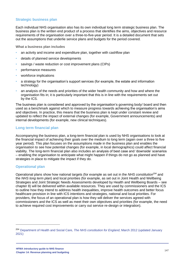#### **Strategic business plan**

Each individual NHS organisation also has its own individual long term strategic business plan. The business plan is the written end product of a process that identifies the aims, objectives and resource requirements of the organisation over a three-to-five-year period. It is a detailed document that sets out the assumptions that underlie service plans and budgets for the period covered.

**What a business plan includes**

- an activity and income and expenditure plan, together with cashflow plan
- details of planned service developments
- savings / waste reduction or cost improvement plans (CIPs)
- performance measures
- workforce implications
- a strategy for the organisation's support services (for example, the estate and information technology)
- an analysis of the needs and priorities of the wider health community and how and where the organisation fits in; it is particularly important that this is in line with the requirements set out by the ICS.

The business plan is considered and approved by the organisation's governing body/ board and then used as a benchmark against which to measure progress towards achieving the organisation's aims and objectives. In practice, this means that the business plan is kept under constant review and updated to reflect the impact of external changes (for example, Government announcements) and internal developments (for example, new clinical techniques).

#### **Long term financial plan**

Accompanying the business plan, a long-term financial plan is used by NHS organisations to look at the financial impact of achieving their goals over the medium to long term (again over a three to five year period). This plan focuses on the assumptions made in the business plan and enables the organisation to see how potential changes (for example, in local demographics) could affect financial viability. The long-term financial plan also includes an analysis of best case and 'downside' scenarios – enabling the organisation to anticipate what might happen if things do not go as planned and have strategies in place to mitigate the impact if they do.

#### **Operational plan**

Operational plans show how national targets (for example as set out in the *NHS constitution<sup>204</sup>* and the *NHS long term plan*) and local priorities (for example, as set out in Joint Health and Wellbeing Strategies and Joint Strategic Needs Assessments developed by Health and Wellbeing Boards – see chapter 8) will be delivered within available resources. They are used by commissioners and the ICS to outline how they intend to address health inequalities, improve health outcomes and better focus healthcare provision in line with ICS intentions and strategies, national and local priorities. For providers, the focus of an operational plan is how they will deliver the services agreed with commissioners and the ICS as well as meet their own objectives and priorities (for example, the need to achieve required cost improvements or carry out service re-design or integration).

<sup>204</sup> [Department of Health and Social Care,](https://www.gov.uk/government/publications/the-nhs-constitution-for-england) *The NHS constitution for England*, March 2012 (updated January [2021\)](https://www.gov.uk/government/publications/the-nhs-constitution-for-england)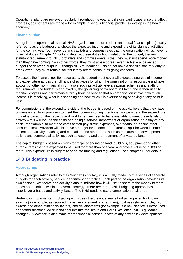Operational plans are reviewed regularly throughout the year and if significant issues arise that affect progress, adjustments are made – for example, if serious financial problems develop in the health economy.

#### **Financial plan**

Alongside the operational plan, all NHS organisations must produce an annual financial plan (usually referred to as the budget) that shows the expected income and expenditure of its planned activities for the coming year (both revenue and capital) and demonstrates that the organisation will achieve its financial duties. Chapter 11 looks in detail at these duties but in relation to the budget, the key statutory requirement for NHS providers and commissioners is that they must not spend more money than they have coming in – in other words, they must at least break even (achieve a 'balanced budget') or deliver a surplus. Although NHS foundation trusts do not have a specific statutory duty to break-even, they must remain solvent if they are to continue as going concerns.

To assess the financial position accurately, the budget must cover all expected sources of income and expenditure across the full range of activities for which the organisation is responsible and take account of other non-financial information, such as activity levels, savings schemes and staffing requirements. The budget is approved by the governing body/ board in March and is then used to monitor progress and performance throughout the year so that an organisation knows how much income it is receiving, what it is spending and how much it is overspending or saving at any point in time.

For commissioners, the expenditure side of the budget is based on the activity levels that they have commissioned from providers to meet their commissioning intentions. For providers, the expenditure budget is based on the capacity and workforce they need to have available to meet these levels of activity – this will include the costs of running a service, department or organisation on a day-to-day basis (for example, to meet the costs of staff pay, travel expenses, overheads, drugs and other consumables). Providers will also have a budget for income – for example, split between income for patient care activity, teaching and education, and other areas such as research and development activity and commercial activities such as catering and the treatment of private patients.

The capital budget is based on plans for major spending on land, buildings, equipment and other durable items that are expected to be used for more than one year and have a value of £5,000 or more. This expenditure is subject to separate funding and regulations – see chapter 15 for details.

# **14.3 Budgeting in practice**

#### **Approaches**

Although organisations refer to their 'budget' (singular), it is actually made up of a series of separate budgets for each activity, service, department or practice. Each part of the organisation develops its own financial, workforce and activity plans to indicate how it will use its share of the money to meet needs and priorities within the overall strategy. There are three basic budgeting approaches – historic, zero-based and activity-based. The NHS tends to use a combination of all three.

**Historic or incremental budgeting** – this uses the previous year's budget, adjusted for known savings (for example, as required in cost improvement programmes); cost rises (for example, pay awards and other inflationary factors) and developments (for example, if a new service is introduced or another discontinued or if National Institute for Health and Care Excellence (NICE) guidance changes). Allowance is also made for the financial consequences of any new policy developments.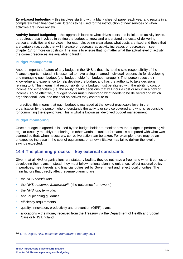**Zero-based budgeting** – this involves starting with a blank sheet of paper each year and results in a completely fresh financial plan. It tends to be used for the introduction of new services or when activities are under review.

**Activity-based budgeting** – this approach looks at what drives costs and is linked to activity levels. It requires those involved in setting the budget to know and understand the costs of delivering particular activities and services – for example, being clear about what costs are fixed and those that are variable (i.e. costs that will increase or decrease as activity increases or decreases – see chapter 17 for more on costing). The aim is to ensure that no matter what the actual level of activity, the correct resources are available to fund it.

#### **Budget management**

Another important feature of any budget in the NHS is that it is not the sole responsibility of the finance experts. Instead, it is essential to have a single named individual responsible for developing and managing each budget (the 'budget holder' or 'budget manager'). That person uses their knowledge and experience to help develop the budget and has the authority to take decisions relating to it. This means that responsibility for a budget must be aligned with the ability to control income and expenditure (i.e. the ability to take decisions that will incur a cost or result in a flow of income). To be effective, a budget holder must understand what needs to be delivered and which organisational, local and national objectives they contribute to.

In practice, this means that each budget is managed at the lowest practicable level in the organisation by the person who understands the activity or service covered and who is responsible for committing the expenditure. This is what is known as 'devolved budget management'.

#### **Budget monitoring**

Once a budget is agreed, it is used by the budget holder to monitor how the budget is performing via regular (usually monthly) monitoring. In other words, actual performance is compared with what was planned so that, when necessary, corrective action can be taken. For example, there may be an unexpected increase in the cost of equipment, or a new initiative may fail to deliver the level of savings expected.

# **14.4 The planning process – key external constraints**

Given that all NHS organisations are statutory bodies, they do not have a free hand when it comes to developing their plans. Instead, they must follow national planning guidance, reflect national policy imperatives, meet targets and financial duties set by Government and reflect local priorities. The main factors that directly affect revenue planning are:

- the *NHS constitution*
- the *NHS outcomes framework*<sup>205</sup> ('the outcomes framework')
- the *NHS long term plan*
- annual planning guidance
- efficiency requirements
- quality, innovation, productivity and prevention (QIPP) plans
- allocations the money received from the Treasury via the Department of Health and Social Care or NHS England

<sup>205</sup> NHS Digital, *[NHS outcomes framework](https://digital.nhs.uk/data-and-information/publications/statistical/nhs-outcomes-framework)*, February 2021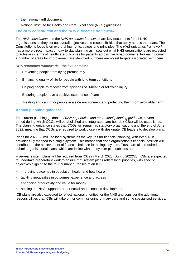- the national tariff document
- National Institute for Health and Care Excellence (NICE) guidelines.

#### **The** *NHS constitution* **and the** *NHS outcomes framework*

The *NHS constitution* and the *NHS outcomes framework* are key documents for all NHS organisations as they set out overall objectives and responsibilities that apply across the board. The Constitution's focus is on overarching rights, values and principles. The *NHS outcomes framework* has a more direct impact on day-to-day planning as it sets out what NHS organisations are expected to achieve in terms of healthcare outcomes for patients across five broad domains. For each domain a number of areas for improvement are identified but there are no set targets associated with them.

*NHS outcomes framework* **– the five domains**

- 1. Preventing people from dying prematurely
- 2. Enhancing quality of life for people with long term conditions
- 3. Helping people to recover from episodes of ill-health or following injury
- 4. Ensuring people have a positive experience of care
- 5. Treating and caring for people in a safe environment and protecting them from avoidable harm.

#### **Annual planning guidance**

The current planning guidance, *2022/23 priorities and operational planning guidance*, covers the period during which CCGs will be abolished and integrated care boards (ICBs) will be established. The planning guidance states that CCGs will remain as statutory organisations until the end of June 2022, meaning that CCGs are required to work closely with designate ICB leaders to develop plans.

Plans for 2022/23 will use local systems as the key unit for financial planning, with every NHS provider fully mapped to a single system. This means that each organisation's financial position will contribute to the achievement of financial balance for a single system. Trusts are also required to submit organisational plans, which are in line with the system plan submission.

Five-year system plans will be required from ICBs in March 2023. During 2022/23, ICBs are expected to undertake preparatory work to ensure that system plans reflect local priorities, with specific objectives aligning to the four primary purposes of an ICS:

- improving outcomes in population health and healthcare
- tackling inequalities in outcomes, experience and access
- enhancing productivity and value for money
- helping the NHS support broader social and economic development.

ICB plans are also expected to reflect national priorities for the NHS and consider the additional responsibilities that ICBs will take on for commissioning primary care and some specialised services.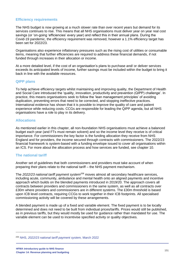#### **Efficiency requirements**

The NHS budget is now growing at a much slower rate than over recent years but demand for its services continues to rise. This means that all NHS organisations must deliver year on year real cost savings (or 'on-going 'efficiencies' every year) and reflect this in their annual plans. During the Covid-19 pandemic, the efficiency requirement was removed, however a 1.1% efficiency target has been set for 2022/23.

Organisations also experience inflationary pressures such as the rising cost of utilities or consumable items, meaning that further efficiencies are required to address these financial demands, if not funded through increases in their allocation or income.

At a more detailed level, if the cost of an organisation's plans to purchase and/ or deliver services exceeds its anticipated levels of income, further savings must be included within the budget to bring it back in line with the available resources.

#### **QIPP plans**

To help achieve efficiency targets whilst maintaining and improving quality, the Department of Health and Social Care introduced the 'quality, innovation, productivity and prevention (QIPP) challenge'. In practice, this means organisations seek to follow the 'lean management principles' of avoiding duplication, preventing errors that need to be corrected, and stopping ineffective practices. International evidence has shown that it is possible to improve the quality of care and patient experience while reducing costs. CCGs are responsible for leading the QIPP agenda, but all NHS organisations have a role to play in its delivery.

#### **Allocations**

As mentioned earlier in this chapter, all non-foundation NHS organisations must achieve a balanced budget each year (and FTs must remain solvent) and so the income level they receive is of critical importance. For commissioners the key factor is the funding allocation they receive from NHS England and for providers, the income secured through contracts with commissioners. The 2022/23 financial framework is system-based with a funding envelope issued to cover all organisations within an ICS. For more about the allocation process and how services are funded, see chapter 10.

#### **The national tariff**

Another set of guidelines that both commissioners and providers must take account of when preparing their plans relate to the national tariff – the NHS payment mechanism.

The *2022/23 national tariff payment system<sup>206</sup>* moves almost all secondary healthcare services, including acute, community, ambulance and mental health onto an aligned payments and incentive approach which builds on the blended payments introduced in 2019/20. The approach covers all contracts between providers and commissioners in the same system, as well as all contracts over £30m where providers and commissioners are in different systems. The £30m threshold is based upon ICB level contracts, requiring CCGs to work together in their ICB footprints. All specialised commissioning activity will be covered by these arrangements.

A blended payment is made up of a fixed and variable element. The fixed payment is to be locally determined and does not need to be built from individual prices/tariffs. Prices would still be published, as in previous tariffs, but they would mostly be used for guidance rather than mandated for use. The variable element can be used to incentivise specified activity or quality objectives.

<sup>206</sup> NHS, *[2022/23 national tariff payment system,](https://www.england.nhs.uk/wp-content/uploads/2020/11/22-23-National-tariff-payment-system.pdf)* March 2022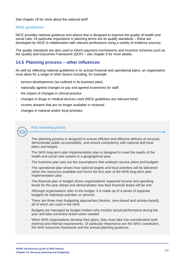See chapter 19 for more about the national tariff.

#### **NICE guidelines**

NICE provides national guidance and advice that is designed to improve the quality of health and social care. Of particular importance in planning terms are its quality standards – these are developed by NICE in collaboration with relevant professions using a variety of evidence sources.

The quality standards are also used to inform payment mechanisms and incentive schemes such as the Quality and Outcomes Framework (QOF) – see chapter 6 for more details.

### **14.5 Planning process – other influences**

As well as reflecting national guidelines in its annual financial and operational plans, an organisation must allow for a range of other factors including, for example:

- service developments (as outlined in its business plan)
- nationally agreed changes to pay and agreed increments for staff
- the impact of changes in clinical practice
- changes in drugs or medical devices used (NICE guidelines are relevant here)
- income streams that are no longer available or received
- changes in national and/or local priorities.



#### **Key learning points**

- The planning process is designed to ensure efficient and effective delivery of services, demonstrate public accountability, and ensure consistency with national and local plans and targets
- The *NHS long-term plan* implementation plan is designed to meet the needs of the health and social care system in a geographical area
- The business plan sets out the assumptions that underpin service plans and budgets
- The operational plan shows how national targets and local priorities will be delivered within the resources available and forms the first year of the NHS long-term plan implementation plan
- The financial plan or budget shows organisations' expected income and spending levels for the year ahead and demonstrates how their financial duties will be met
- Although organisations refer to the budget, it is made up of a series of separate budgets for individual activities or services
- There are three main budgeting approaches (historic, zero-based and activity-based), all of which are used in the NHS
- Budgets are managed by budget holders who monitor actual performance during the year and take corrective action when needed
- When NHS organisations develop their plans, they must take into consideration both external and internal requirements. Of particular importance are the *NHS constitution*, the *NHS outcomes framework* and the annual planning guidance.